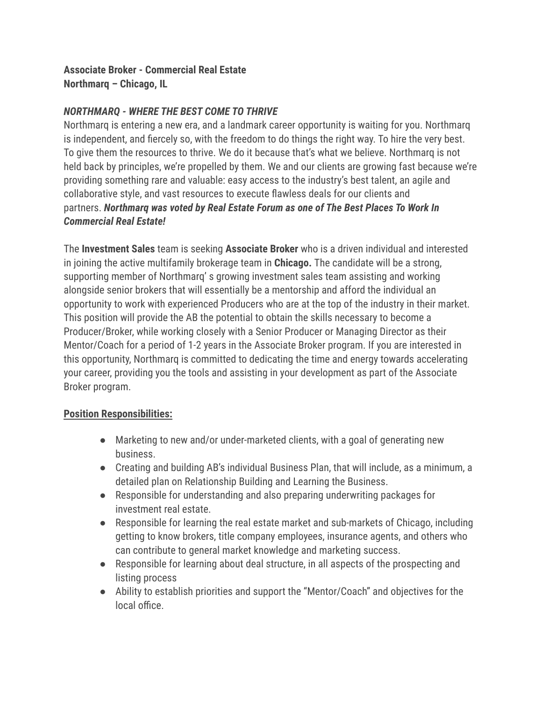### **Associate Broker - Commercial Real Estate Northmarq – Chicago, IL**

## *NORTHMARQ - WHERE THE BEST COME TO THRIVE*

Northmarq is entering a new era, and a landmark career opportunity is waiting for you. Northmarq is independent, and fiercely so, with the freedom to do things the right way. To hire the very best. To give them the resources to thrive. We do it because that's what we believe. Northmarq is not held back by principles, we're propelled by them. We and our clients are growing fast because we're providing something rare and valuable: easy access to the industry's best talent, an agile and collaborative style, and vast resources to execute flawless deals for our clients and partners. *Northmarq was voted by Real Estate Forum as one of The Best Places To Work In Commercial Real Estate!*

The **Investment Sales** team is seeking **Associate Broker** who is a driven individual and interested in joining the active multifamily brokerage team in **Chicago.** The candidate will be a strong, supporting member of Northmarq' s growing investment sales team assisting and working alongside senior brokers that will essentially be a mentorship and afford the individual an opportunity to work with experienced Producers who are at the top of the industry in their market. This position will provide the AB the potential to obtain the skills necessary to become a Producer/Broker, while working closely with a Senior Producer or Managing Director as their Mentor/Coach for a period of 1-2 years in the Associate Broker program. If you are interested in this opportunity, Northmarq is committed to dedicating the time and energy towards accelerating your career, providing you the tools and assisting in your development as part of the Associate Broker program.

#### **Position Responsibilities:**

- Marketing to new and/or under-marketed clients, with a goal of generating new business.
- Creating and building AB's individual Business Plan, that will include, as a minimum, a detailed plan on Relationship Building and Learning the Business.
- Responsible for understanding and also preparing underwriting packages for investment real estate.
- Responsible for learning the real estate market and sub-markets of Chicago, including getting to know brokers, title company employees, insurance agents, and others who can contribute to general market knowledge and marketing success.
- Responsible for learning about deal structure, in all aspects of the prospecting and listing process
- Ability to establish priorities and support the "Mentor/Coach" and objectives for the local office.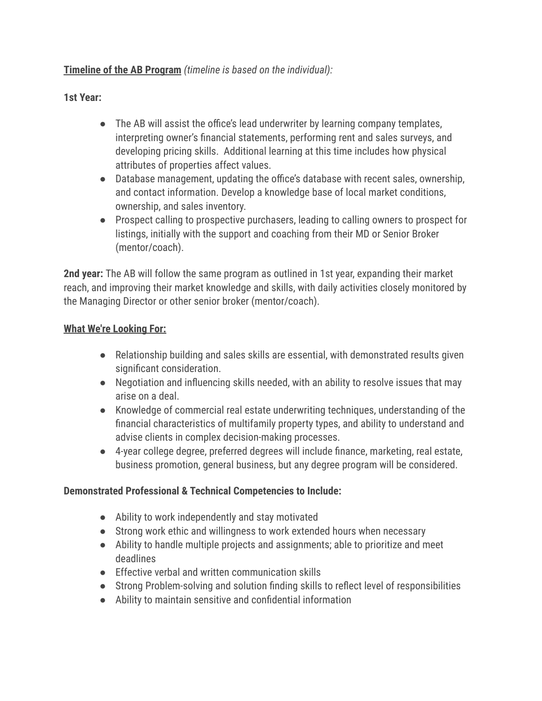# **Timeline of the AB Program** *(timeline is based on the individual):*

## **1st Year:**

- The AB will assist the office's lead underwriter by learning company templates, interpreting owner's financial statements, performing rent and sales surveys, and developing pricing skills. Additional learning at this time includes how physical attributes of properties affect values.
- Database management, updating the office's database with recent sales, ownership, and contact information. Develop a knowledge base of local market conditions, ownership, and sales inventory.
- Prospect calling to prospective purchasers, leading to calling owners to prospect for listings, initially with the support and coaching from their MD or Senior Broker (mentor/coach).

**2nd year:** The AB will follow the same program as outlined in 1st year, expanding their market reach, and improving their market knowledge and skills, with daily activities closely monitored by the Managing Director or other senior broker (mentor/coach).

#### **What We're Looking For:**

- Relationship building and sales skills are essential, with demonstrated results given significant consideration.
- Negotiation and influencing skills needed, with an ability to resolve issues that may arise on a deal.
- Knowledge of commercial real estate underwriting techniques, understanding of the financial characteristics of multifamily property types, and ability to understand and advise clients in complex decision-making processes.
- 4-year college degree, preferred degrees will include finance, marketing, real estate, business promotion, general business, but any degree program will be considered.

# **Demonstrated Professional & Technical Competencies to Include:**

- Ability to work independently and stay motivated
- Strong work ethic and willingness to work extended hours when necessary
- Ability to handle multiple projects and assignments; able to prioritize and meet deadlines
- Effective verbal and written communication skills
- Strong Problem-solving and solution finding skills to reflect level of responsibilities
- Ability to maintain sensitive and confidential information